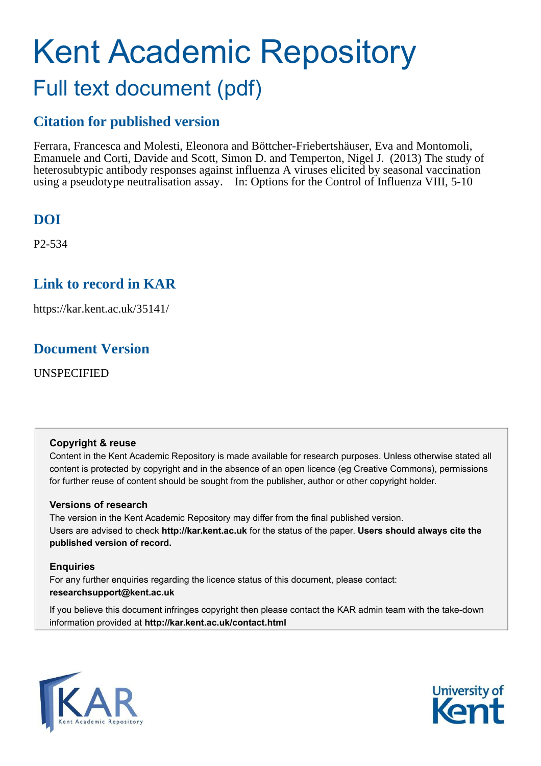# Kent Academic Repository Full text document (pdf)

### **Citation for published version**

Ferrara, Francesca and Molesti, Eleonora and Böttcher-Friebertshäuser, Eva and Montomoli, Emanuele and Corti, Davide and Scott, Simon D. and Temperton, Nigel J. (2013) The study of heterosubtypic antibody responses against influenza A viruses elicited by seasonal vaccination using a pseudotype neutralisation assay. In: Options for the Control of Influenza VIII, 5-10

## **DOI**

P2-534

## **Link to record in KAR**

https://kar.kent.ac.uk/35141/

## **Document Version**

UNSPECIFIED

#### **Copyright & reuse**

Content in the Kent Academic Repository is made available for research purposes. Unless otherwise stated all content is protected by copyright and in the absence of an open licence (eg Creative Commons), permissions for further reuse of content should be sought from the publisher, author or other copyright holder.

#### **Versions of research**

The version in the Kent Academic Repository may differ from the final published version. Users are advised to check **http://kar.kent.ac.uk** for the status of the paper. **Users should always cite the published version of record.**

#### **Enquiries**

For any further enquiries regarding the licence status of this document, please contact: **researchsupport@kent.ac.uk**

If you believe this document infringes copyright then please contact the KAR admin team with the take-down information provided at **http://kar.kent.ac.uk/contact.html**